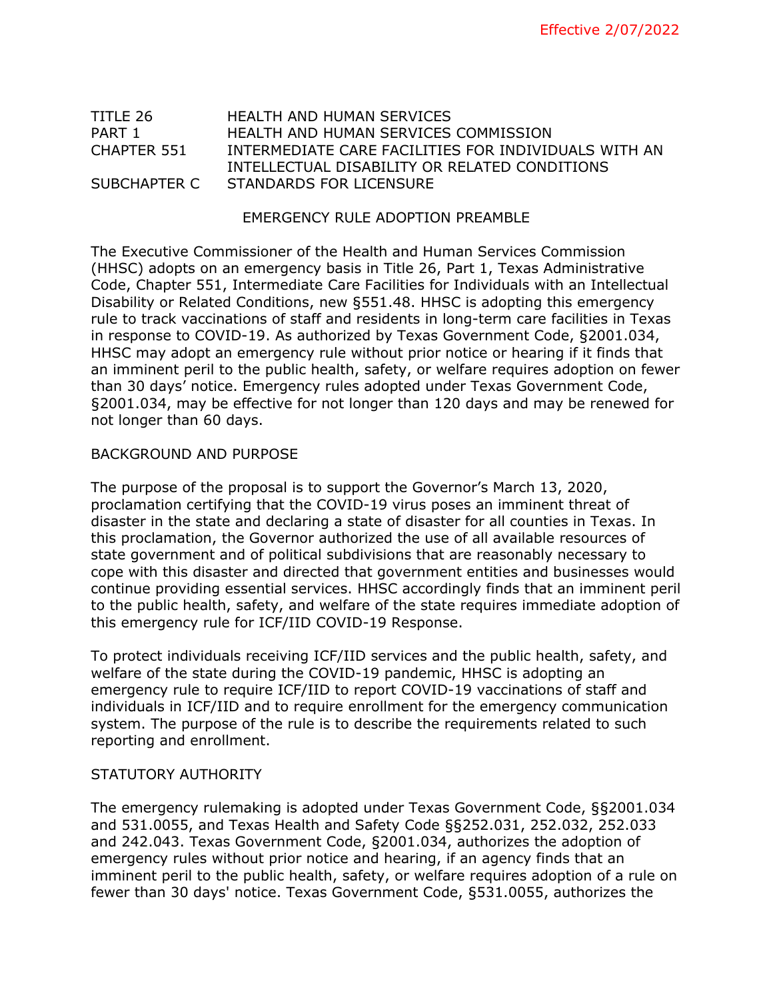# TITLE 26 HEALTH AND HUMAN SERVICES PART 1 **HEALTH AND HUMAN SERVICES COMMISSION** CHAPTER 551 INTERMEDIATE CARE FACILITIES FOR INDIVIDUALS WITH AN INTELLECTUAL DISABILITY OR RELATED CONDITIONS SUBCHAPTER C STANDARDS FOR LICENSURE

### EMERGENCY RULE ADOPTION PREAMBLE

The Executive Commissioner of the Health and Human Services Commission (HHSC) adopts on an emergency basis in Title 26, Part 1, Texas Administrative Code, Chapter 551, Intermediate Care Facilities for Individuals with an Intellectual Disability or Related Conditions, new §551.48. HHSC is adopting this emergency rule to track vaccinations of staff and residents in long-term care facilities in Texas in response to COVID-19. As authorized by Texas Government Code, §2001.034, HHSC may adopt an emergency rule without prior notice or hearing if it finds that an imminent peril to the public health, safety, or welfare requires adoption on fewer than 30 days' notice. Emergency rules adopted under Texas Government Code, §2001.034, may be effective for not longer than 120 days and may be renewed for not longer than 60 days.

### BACKGROUND AND PURPOSE

The purpose of the proposal is to support the Governor's March 13, 2020, proclamation certifying that the COVID-19 virus poses an imminent threat of disaster in the state and declaring a state of disaster for all counties in Texas. In this proclamation, the Governor authorized the use of all available resources of state government and of political subdivisions that are reasonably necessary to cope with this disaster and directed that government entities and businesses would continue providing essential services. HHSC accordingly finds that an imminent peril to the public health, safety, and welfare of the state requires immediate adoption of this emergency rule for ICF/IID COVID-19 Response.

To protect individuals receiving ICF/IID services and the public health, safety, and welfare of the state during the COVID-19 pandemic, HHSC is adopting an emergency rule to require ICF/IID to report COVID-19 vaccinations of staff and individuals in ICF/IID and to require enrollment for the emergency communication system. The purpose of the rule is to describe the requirements related to such reporting and enrollment.

## STATUTORY AUTHORITY

The emergency rulemaking is adopted under Texas Government Code, §§2001.034 and 531.0055, and Texas Health and Safety Code §§252.031, 252.032, 252.033 and 242.043. Texas Government Code, §2001.034, authorizes the adoption of emergency rules without prior notice and hearing, if an agency finds that an imminent peril to the public health, safety, or welfare requires adoption of a rule on fewer than 30 days' notice. Texas Government Code, §531.0055, authorizes the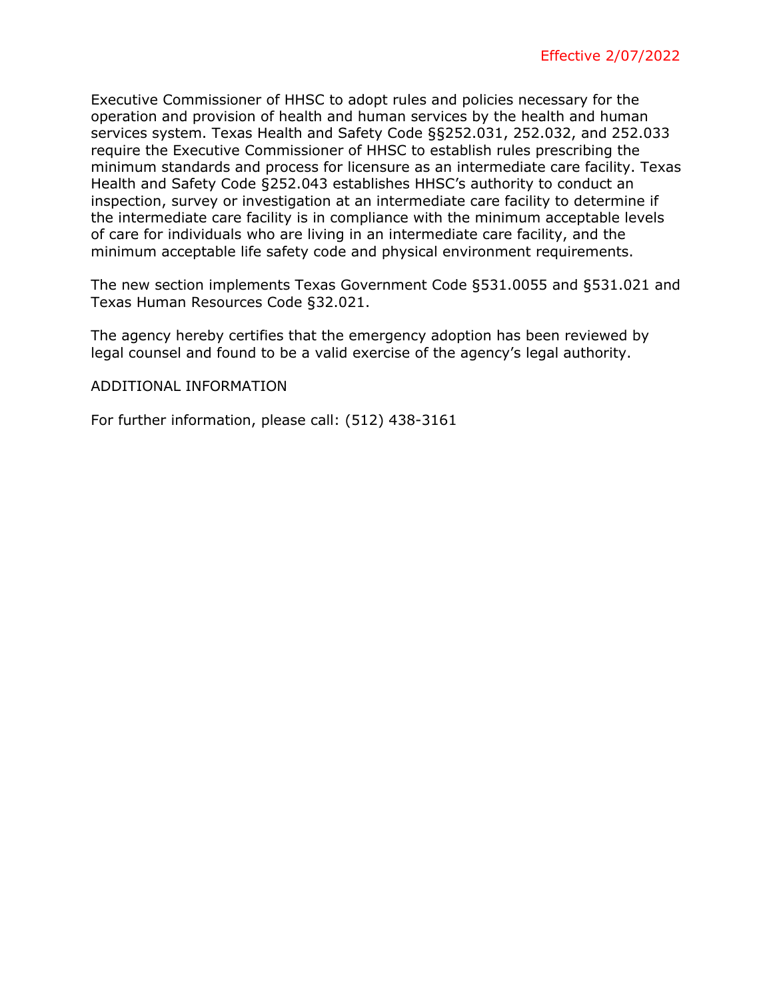Executive Commissioner of HHSC to adopt rules and policies necessary for the operation and provision of health and human services by the health and human services system. Texas Health and Safety Code §§252.031, 252.032, and 252.033 require the Executive Commissioner of HHSC to establish rules prescribing the minimum standards and process for licensure as an intermediate care facility. Texas Health and Safety Code §252.043 establishes HHSC's authority to conduct an inspection, survey or investigation at an intermediate care facility to determine if the intermediate care facility is in compliance with the minimum acceptable levels of care for individuals who are living in an intermediate care facility, and the minimum acceptable life safety code and physical environment requirements.

The new section implements Texas Government Code §531.0055 and §531.021 and Texas Human Resources Code §32.021.

The agency hereby certifies that the emergency adoption has been reviewed by legal counsel and found to be a valid exercise of the agency's legal authority.

### ADDITIONAL INFORMATION

For further information, please call: (512) 438-3161